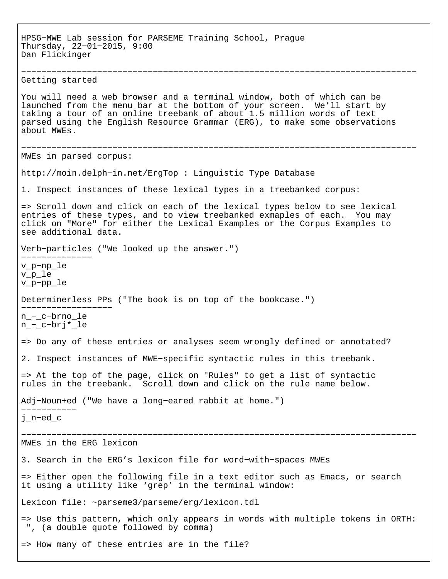HPSG−MWE Lab session for PARSEME Training School, Prague Thursday, 22−01−2015, 9:00 Dan Flickinger −−−−−−−−−−−−−−−−−−−−−−−−−−−−−−−−−−−−−−−−−−−−−−−−−−−−−−−−−−−−−−−−−−−−−−−−−−−−−− Getting started You will need a web browser and a terminal window, both of which can be launched from the menu bar at the bottom of your screen. We'll start by taking a tour of an online treebank of about 1.5 million words of text parsed using the English Resource Grammar (ERG), to make some observations about MWEs. −−−−−−−−−−−−−−−−−−−−−−−−−−−−−−−−−−−−−−−−−−−−−−−−−−−−−−−−−−−−−−−−−−−−−−−−−−−−−− MWEs in parsed corpus: http://moin.delph−in.net/ErgTop : Linguistic Type Database 1. Inspect instances of these lexical types in a treebanked corpus: => Scroll down and click on each of the lexical types below to see lexical entries of these types, and to view treebanked exmaples of each. You may click on "More" for either the Lexical Examples or the Corpus Examples to see additional data. Verb−particles ("We looked up the answer.") −−−−−−−−−−−−−− v\_p−np\_le v\_p\_le v\_p−pp\_le Determinerless PPs ("The book is on top of the bookcase.") −−−−−−−−−−−−−−−−−− n\_−\_c−brno\_le n\_−\_c−brj\*\_le => Do any of these entries or analyses seem wrongly defined or annotated? 2. Inspect instances of MWE−specific syntactic rules in this treebank. => At the top of the page, click on "Rules" to get a list of syntactic rules in the treebank. Scroll down and click on the rule name below. Adj−Noun+ed ("We have a long−eared rabbit at home.") −−−−−−−−−−− j\_n−ed\_c −−−−−−−−−−−−−−−−−−−−−−−−−−−−−−−−−−−−−−−−−−−−−−−−−−−−−−−−−−−−−−−−−−−−−−−−−−−−−− MWEs in the ERG lexicon 3. Search in the ERG's lexicon file for word−with−spaces MWEs => Either open the following file in a text editor such as Emacs, or search it using a utility like 'grep' in the terminal window: Lexicon file: ~parseme3/parseme/erg/lexicon.tdl => Use this pattern, which only appears in words with multiple tokens in ORTH: ", (a double quote followed by comma) => How many of these entries are in the file?